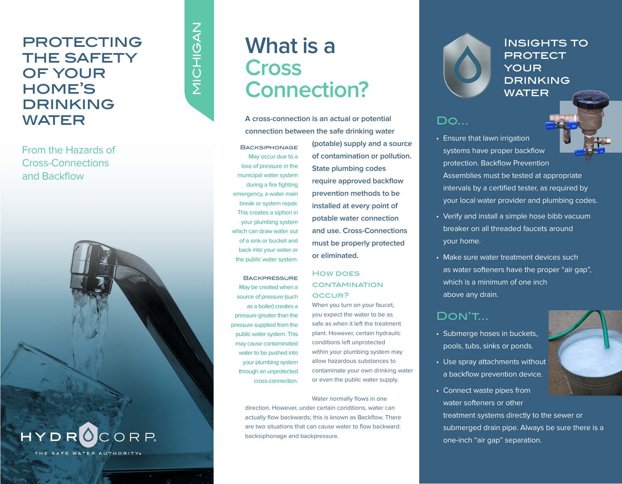## **PROTECTING** the safety OF YOUR home's drinking **WATER** A cross-connection is an actual or potential **DO...**

From the Hazards of Cross-Connections and Backflow



# NICHIGAN **NAUHOIN**

## **Cross Connection?**

**What is a**

**connection between the safe drinking water** 

**BACKSIPHONAGE** May occur due to a loss of pressure in the municipal water system during a fire fighting emergency, a water main break or system repair. This creates a siphon in your plumbing system which can draw water out of a sink or bucket and back into your water or the public water system.

**BACKPRESSURE** May be created when a source of pressure (such as a boiler) creates a pressure greater than the pressure supplied from the public water system. This may cause contaminated water to be pushed into your plumbing system through an unprotected cross-connection.

**(potable) supply and a source of contamination or pollution. State plumbing codes require approved backflow prevention methods to be installed at every point of potable water connection and use. Cross-Connections must be properly protected or eliminated.**

#### **HOW DOES CONTAMINATION** occur?

When you turn on your faucet, you expect the water to be as safe as when it left the treatment plant. However, certain hydraulic conditions left unprotected within your plumbing system may allow hazardous substances to contaminate your own drinking water or even the public water supply.

Water normally flows in one direction. However, under certain conditions, water can actually flow backwards; this is known as Backflow. There are two situations that can cause water to flow backward: backsiphonage and backpressure.

#### INSIGHTS TO **PROTECT** your **DRINKING** WATER

- Ensure that lawn irrigation systems have proper backflow protection. Backflow Prevention Assemblies must be tested at appropriate intervals by a certified tester, as required by your local water provider and plumbing codes.
- Verify and install a simple hose bibb vacuum breaker on all threaded faucets around your home.
- Make sure water treatment devices such as water softeners have the proper "air gap", which is a minimum of one inch above any drain.

### Don't...

- Submerge hoses in buckets, pools, tubs, sinks or ponds.
- Use spray attachments without a backflow prevention device.
- Connect waste pipes from water softeners or other treatment systems directly to the sewer or submerged drain pipe. Always be sure there is a one-inch "air gap" separation.